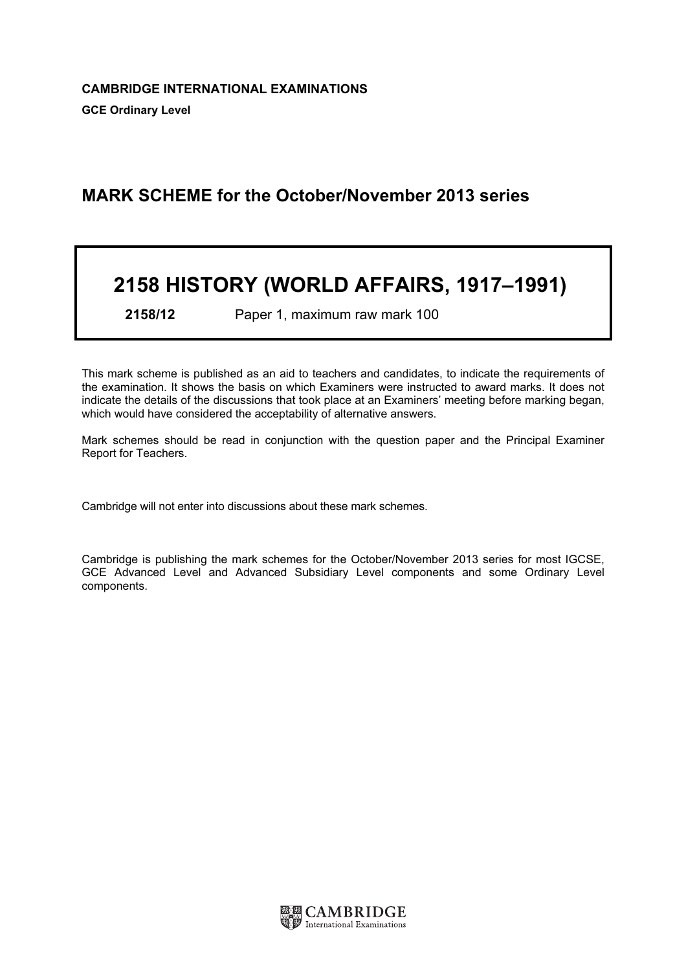# MARK SCHEME for the October/November 2013 series

# 2158 HISTORY (WORLD AFFAIRS, 1917–1991)

2158/12 Paper 1, maximum raw mark 100

This mark scheme is published as an aid to teachers and candidates, to indicate the requirements of the examination. It shows the basis on which Examiners were instructed to award marks. It does not indicate the details of the discussions that took place at an Examiners' meeting before marking began, which would have considered the acceptability of alternative answers.

Mark schemes should be read in conjunction with the question paper and the Principal Examiner Report for Teachers.

Cambridge will not enter into discussions about these mark schemes.

Cambridge is publishing the mark schemes for the October/November 2013 series for most IGCSE, GCE Advanced Level and Advanced Subsidiary Level components and some Ordinary Level components.

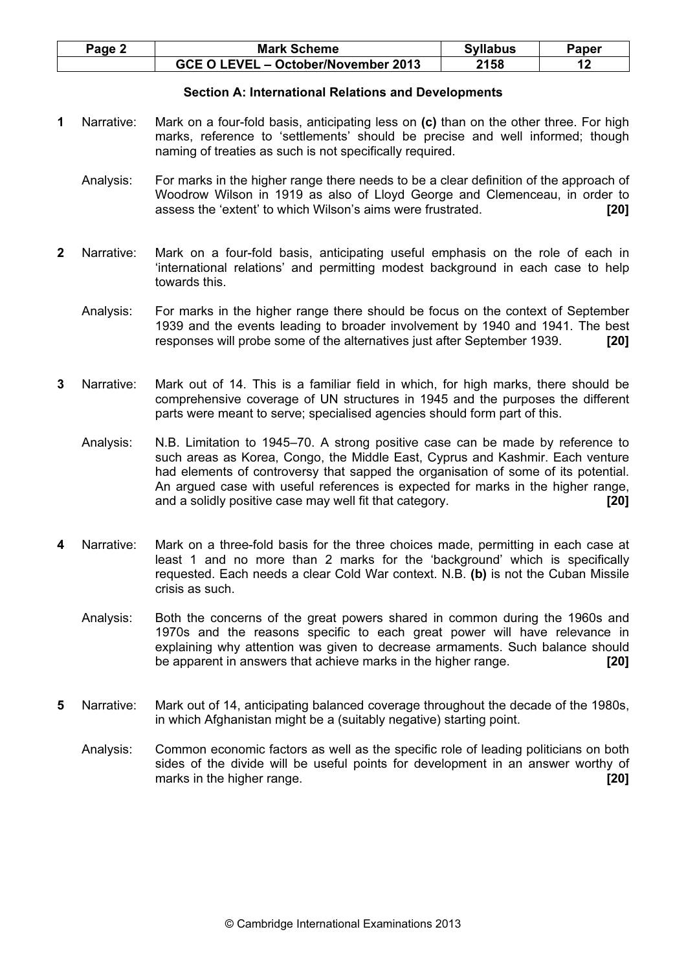| $Page \angle$ | <b>Mark Scheme</b>                  | <b>Syllabus</b> | Paper |
|---------------|-------------------------------------|-----------------|-------|
|               | GCE O LEVEL - October/November 2013 | 2158            |       |

# Section A: International Relations and Developments

- 1 Narrative: Mark on a four-fold basis, anticipating less on (c) than on the other three. For high marks, reference to 'settlements' should be precise and well informed; though naming of treaties as such is not specifically required.
	- Analysis: For marks in the higher range there needs to be a clear definition of the approach of Woodrow Wilson in 1919 as also of Lloyd George and Clemenceau, in order to assess the 'extent' to which Wilson's aims were frustrated. [20]
- 2 Narrative: Mark on a four-fold basis, anticipating useful emphasis on the role of each in 'international relations' and permitting modest background in each case to help towards this.
	- Analysis: For marks in the higher range there should be focus on the context of September 1939 and the events leading to broader involvement by 1940 and 1941. The best responses will probe some of the alternatives just after September 1939. [20]
- 3 Narrative: Mark out of 14. This is a familiar field in which, for high marks, there should be comprehensive coverage of UN structures in 1945 and the purposes the different parts were meant to serve; specialised agencies should form part of this.
	- Analysis: N.B. Limitation to 1945–70. A strong positive case can be made by reference to such areas as Korea, Congo, the Middle East, Cyprus and Kashmir. Each venture had elements of controversy that sapped the organisation of some of its potential. An argued case with useful references is expected for marks in the higher range, and a solidly positive case may well fit that category. [20]
- Narrative: Mark on a three-fold basis for the three choices made, permitting in each case at least 1 and no more than 2 marks for the 'background' which is specifically requested. Each needs a clear Cold War context. N.B. (b) is not the Cuban Missile crisis as such.
	- Analysis: Both the concerns of the great powers shared in common during the 1960s and 1970s and the reasons specific to each great power will have relevance in explaining why attention was given to decrease armaments. Such balance should be apparent in answers that achieve marks in the higher range. [20]
- 5 Narrative: Mark out of 14, anticipating balanced coverage throughout the decade of the 1980s, in which Afghanistan might be a (suitably negative) starting point.

 Analysis: Common economic factors as well as the specific role of leading politicians on both sides of the divide will be useful points for development in an answer worthy of marks in the higher range. **Example 201 CO** is the higher range of the state of the state of the state of the state of the state of the state of the state of the state of the state of the state of the state of the state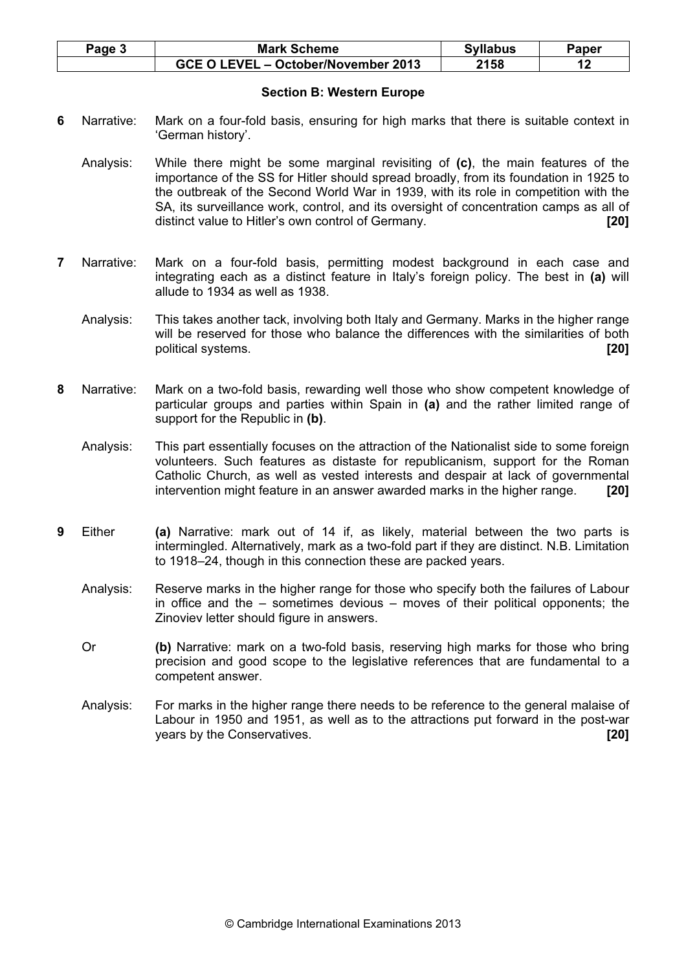| Page 5 | <b>Mark Scheme</b>                  | <b>Syllabus</b> | Paper |
|--------|-------------------------------------|-----------------|-------|
|        | GCE O LEVEL - October/November 2013 | 2158            |       |

# Section B: Western Europe

- 6 Narrative: Mark on a four-fold basis, ensuring for high marks that there is suitable context in 'German history'.
	- Analysis: While there might be some marginal revisiting of (c), the main features of the importance of the SS for Hitler should spread broadly, from its foundation in 1925 to the outbreak of the Second World War in 1939, with its role in competition with the SA, its surveillance work, control, and its oversight of concentration camps as all of distinct value to Hitler's own control of Germany. [20]
- 7 Narrative: Mark on a four-fold basis, permitting modest background in each case and integrating each as a distinct feature in Italy's foreign policy. The best in (a) will allude to 1934 as well as 1938.
	- Analysis: This takes another tack, involving both Italy and Germany. Marks in the higher range will be reserved for those who balance the differences with the similarities of both political systems. [20]
- 8 Narrative: Mark on a two-fold basis, rewarding well those who show competent knowledge of particular groups and parties within Spain in (a) and the rather limited range of support for the Republic in (b).
	- Analysis: This part essentially focuses on the attraction of the Nationalist side to some foreign volunteers. Such features as distaste for republicanism, support for the Roman Catholic Church, as well as vested interests and despair at lack of governmental intervention might feature in an answer awarded marks in the higher range. [20]
- **9** Either (a) Narrative: mark out of 14 if, as likely, material between the two parts is intermingled. Alternatively, mark as a two-fold part if they are distinct. N.B. Limitation to 1918–24, though in this connection these are packed years.
	- Analysis: Reserve marks in the higher range for those who specify both the failures of Labour in office and the – sometimes devious – moves of their political opponents; the Zinoviev letter should figure in answers.
	- Or (b) Narrative: mark on a two-fold basis, reserving high marks for those who bring precision and good scope to the legislative references that are fundamental to a competent answer.
	- Analysis: For marks in the higher range there needs to be reference to the general malaise of Labour in 1950 and 1951, as well as to the attractions put forward in the post-war years by the Conservatives. **[20] Example 201**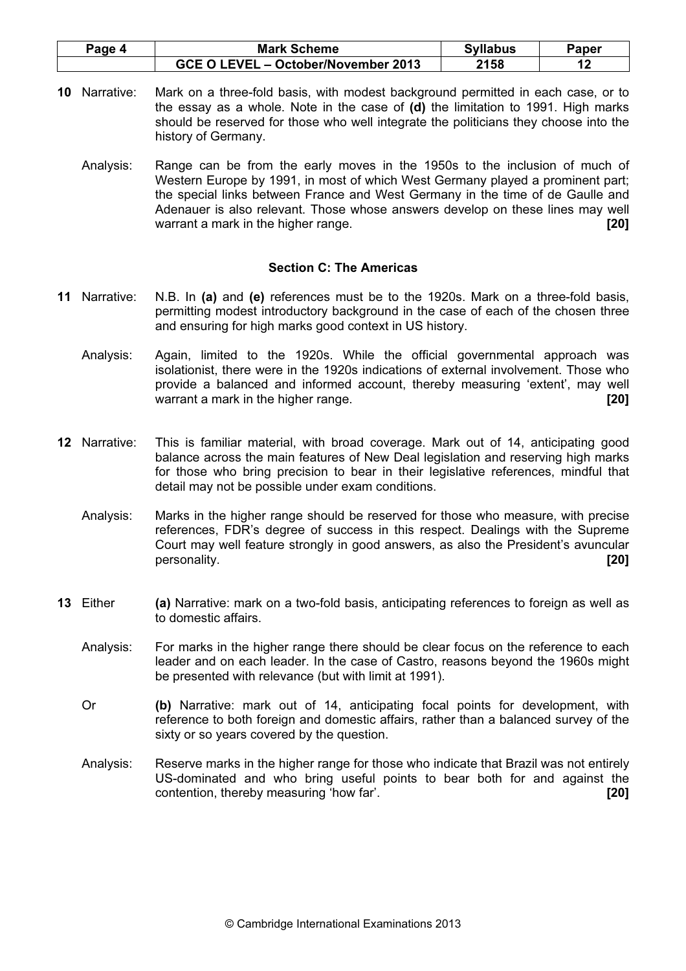| <sup>o</sup> age 4 | <b>Mark Scheme</b>                  | <b>Syllabus</b> | Paper |
|--------------------|-------------------------------------|-----------------|-------|
|                    | GCE O LEVEL - October/November 2013 | 2158            |       |

- 10 Narrative: Mark on a three-fold basis, with modest background permitted in each case, or to the essay as a whole. Note in the case of  $(d)$  the limitation to 1991. High marks should be reserved for those who well integrate the politicians they choose into the history of Germany.
	- Analysis: Range can be from the early moves in the 1950s to the inclusion of much of Western Europe by 1991, in most of which West Germany played a prominent part; the special links between France and West Germany in the time of de Gaulle and Adenauer is also relevant. Those whose answers develop on these lines may well warrant a mark in the higher range.

#### Section C: The Americas

- 11 Narrative: N.B. In (a) and (e) references must be to the 1920s. Mark on a three-fold basis, permitting modest introductory background in the case of each of the chosen three and ensuring for high marks good context in US history.
	- Analysis: Again, limited to the 1920s. While the official governmental approach was isolationist, there were in the 1920s indications of external involvement. Those who provide a balanced and informed account, thereby measuring 'extent', may well warrant a mark in the higher range. **Example 2018 120**
- 12 Narrative: This is familiar material, with broad coverage. Mark out of 14, anticipating good balance across the main features of New Deal legislation and reserving high marks for those who bring precision to bear in their legislative references, mindful that detail may not be possible under exam conditions.
	- Analysis: Marks in the higher range should be reserved for those who measure, with precise references, FDR's degree of success in this respect. Dealings with the Supreme Court may well feature strongly in good answers, as also the President's avuncular personality. **[20] personality.** [20] *personality personality personality personality personality*
- 13 Either (a) Narrative: mark on a two-fold basis, anticipating references to foreign as well as to domestic affairs.
	- Analysis: For marks in the higher range there should be clear focus on the reference to each leader and on each leader. In the case of Castro, reasons beyond the 1960s might be presented with relevance (but with limit at 1991).
	- Or (b) Narrative: mark out of 14, anticipating focal points for development, with reference to both foreign and domestic affairs, rather than a balanced survey of the sixty or so years covered by the question.
	- Analysis: Reserve marks in the higher range for those who indicate that Brazil was not entirely US-dominated and who bring useful points to bear both for and against the contention, thereby measuring 'how far'. [20]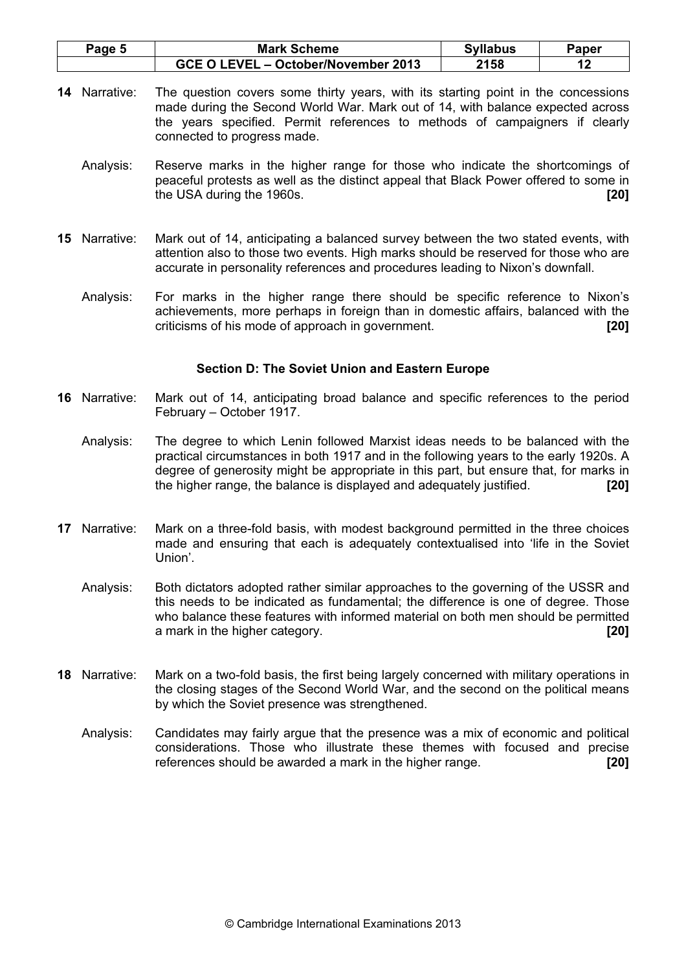| Page 5 | <b>Mark Scheme</b>                  | <b>Syllabus</b> | Paper |
|--------|-------------------------------------|-----------------|-------|
|        | GCE O LEVEL - October/November 2013 | 2158            |       |

- 14 Narrative: The question covers some thirty years, with its starting point in the concessions made during the Second World War. Mark out of 14, with balance expected across the years specified. Permit references to methods of campaigners if clearly connected to progress made.
	- Analysis: Reserve marks in the higher range for those who indicate the shortcomings of peaceful protests as well as the distinct appeal that Black Power offered to some in the USA during the 1960s. **[20] [20]**
- 15 Narrative: Mark out of 14, anticipating a balanced survey between the two stated events, with attention also to those two events. High marks should be reserved for those who are accurate in personality references and procedures leading to Nixon's downfall.
	- Analysis: For marks in the higher range there should be specific reference to Nixon's achievements, more perhaps in foreign than in domestic affairs, balanced with the criticisms of his mode of approach in government. [20]

# Section D: The Soviet Union and Eastern Europe

- 16 Narrative: Mark out of 14, anticipating broad balance and specific references to the period February – October 1917.
	- Analysis: The degree to which Lenin followed Marxist ideas needs to be balanced with the practical circumstances in both 1917 and in the following years to the early 1920s. A degree of generosity might be appropriate in this part, but ensure that, for marks in the higher range, the balance is displayed and adequately justified. [20]
- 17 Narrative: Mark on a three-fold basis, with modest background permitted in the three choices made and ensuring that each is adequately contextualised into 'life in the Soviet Union'.
	- Analysis: Both dictators adopted rather similar approaches to the governing of the USSR and this needs to be indicated as fundamental; the difference is one of degree. Those who balance these features with informed material on both men should be permitted a mark in the higher category. **Example 201 a** mark in the higher stategory.
- 18 Narrative: Mark on a two-fold basis, the first being largely concerned with military operations in the closing stages of the Second World War, and the second on the political means by which the Soviet presence was strengthened.
	- Analysis: Candidates may fairly argue that the presence was a mix of economic and political considerations. Those who illustrate these themes with focused and precise references should be awarded a mark in the higher range. [20]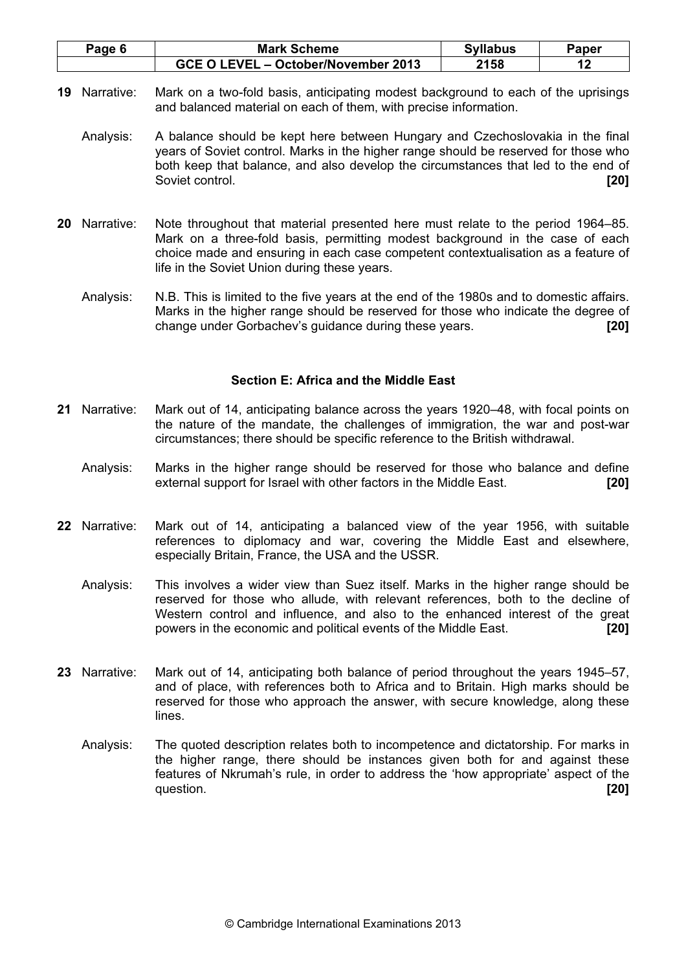| Page 6 | <b>Mark Scheme</b>                  | <b>Syllabus</b> | Paper |
|--------|-------------------------------------|-----------------|-------|
|        | GCE O LEVEL - October/November 2013 | 2158            |       |

- 19 Narrative: Mark on a two-fold basis, anticipating modest background to each of the uprisings and balanced material on each of them, with precise information.
	- Analysis: A balance should be kept here between Hungary and Czechoslovakia in the final years of Soviet control. Marks in the higher range should be reserved for those who both keep that balance, and also develop the circumstances that led to the end of Soviet control. [20] **Soviet control.** [20] **Soviet control.** [20]
- 20 Narrative: Note throughout that material presented here must relate to the period 1964–85. Mark on a three-fold basis, permitting modest background in the case of each choice made and ensuring in each case competent contextualisation as a feature of life in the Soviet Union during these years.
	- Analysis: N.B. This is limited to the five years at the end of the 1980s and to domestic affairs. Marks in the higher range should be reserved for those who indicate the degree of change under Gorbachev's guidance during these years. [20]

## Section E: Africa and the Middle East

- 21 Narrative: Mark out of 14, anticipating balance across the years 1920–48, with focal points on the nature of the mandate, the challenges of immigration, the war and post-war circumstances; there should be specific reference to the British withdrawal.
	- Analysis: Marks in the higher range should be reserved for those who balance and define external support for Israel with other factors in the Middle East. [20]
- 22 Narrative: Mark out of 14, anticipating a balanced view of the year 1956, with suitable references to diplomacy and war, covering the Middle East and elsewhere, especially Britain, France, the USA and the USSR.
	- Analysis: This involves a wider view than Suez itself. Marks in the higher range should be reserved for those who allude, with relevant references, both to the decline of Western control and influence, and also to the enhanced interest of the great powers in the economic and political events of the Middle East. [20]
- 23 Narrative: Mark out of 14, anticipating both balance of period throughout the years 1945–57, and of place, with references both to Africa and to Britain. High marks should be reserved for those who approach the answer, with secure knowledge, along these lines.
	- Analysis: The quoted description relates both to incompetence and dictatorship. For marks in the higher range, there should be instances given both for and against these features of Nkrumah's rule, in order to address the 'how appropriate' aspect of the question.  $[20]$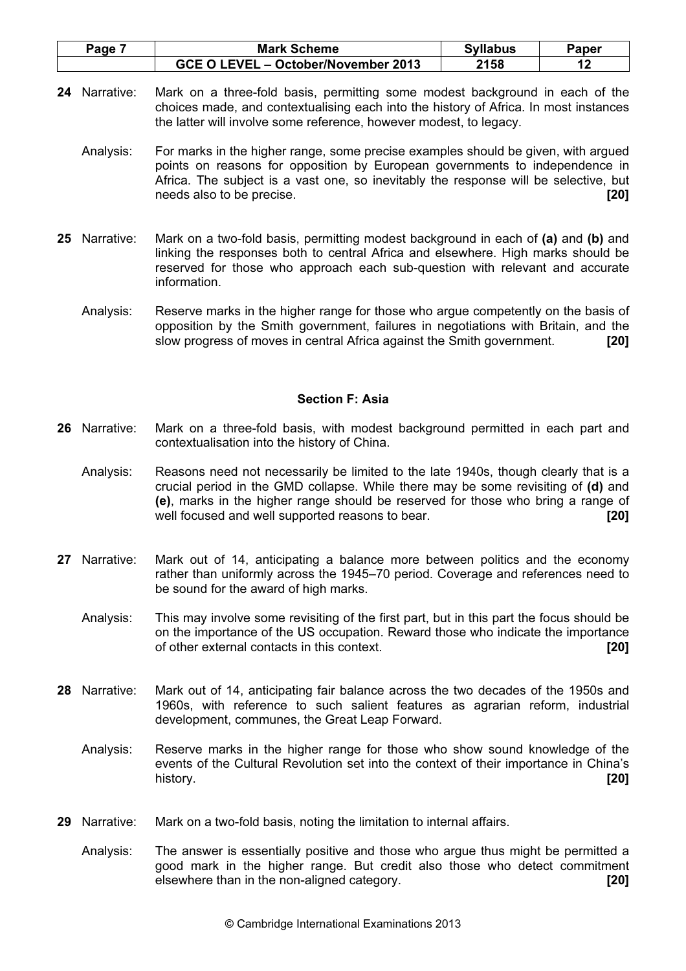| Page 7 | <b>Mark Scheme</b>                  | <b>Syllabus</b> | Paper |
|--------|-------------------------------------|-----------------|-------|
|        | GCE O LEVEL - October/November 2013 | 2158            |       |

- 24 Narrative: Mark on a three-fold basis, permitting some modest background in each of the choices made, and contextualising each into the history of Africa. In most instances the latter will involve some reference, however modest, to legacy.
	- Analysis: For marks in the higher range, some precise examples should be given, with argued points on reasons for opposition by European governments to independence in Africa. The subject is a vast one, so inevitably the response will be selective, but needs also to be precise. **[20] needs** also to be precise.
- 25 Narrative: Mark on a two-fold basis, permitting modest background in each of (a) and (b) and linking the responses both to central Africa and elsewhere. High marks should be reserved for those who approach each sub-question with relevant and accurate information.
	- Analysis: Reserve marks in the higher range for those who argue competently on the basis of opposition by the Smith government, failures in negotiations with Britain, and the slow progress of moves in central Africa against the Smith government. [20]

## Section F: Asia

- 26 Narrative: Mark on a three-fold basis, with modest background permitted in each part and contextualisation into the history of China.
	- Analysis: Reasons need not necessarily be limited to the late 1940s, though clearly that is a crucial period in the GMD collapse. While there may be some revisiting of (d) and (e), marks in the higher range should be reserved for those who bring a range of well focused and well supported reasons to bear. **[20]** [20]
- 27 Narrative: Mark out of 14, anticipating a balance more between politics and the economy rather than uniformly across the 1945–70 period. Coverage and references need to be sound for the award of high marks.
	- Analysis: This may involve some revisiting of the first part, but in this part the focus should be on the importance of the US occupation. Reward those who indicate the importance of other external contacts in this context. [20]
- 28 Narrative: Mark out of 14, anticipating fair balance across the two decades of the 1950s and 1960s, with reference to such salient features as agrarian reform, industrial development, communes, the Great Leap Forward.
	- Analysis: Reserve marks in the higher range for those who show sound knowledge of the events of the Cultural Revolution set into the context of their importance in China's history. [20] **history.** [20] **history.**
- 29 Narrative: Mark on a two-fold basis, noting the limitation to internal affairs.
	- Analysis: The answer is essentially positive and those who argue thus might be permitted a good mark in the higher range. But credit also those who detect commitment elsewhere than in the non-aligned category. **Example 201 1201**